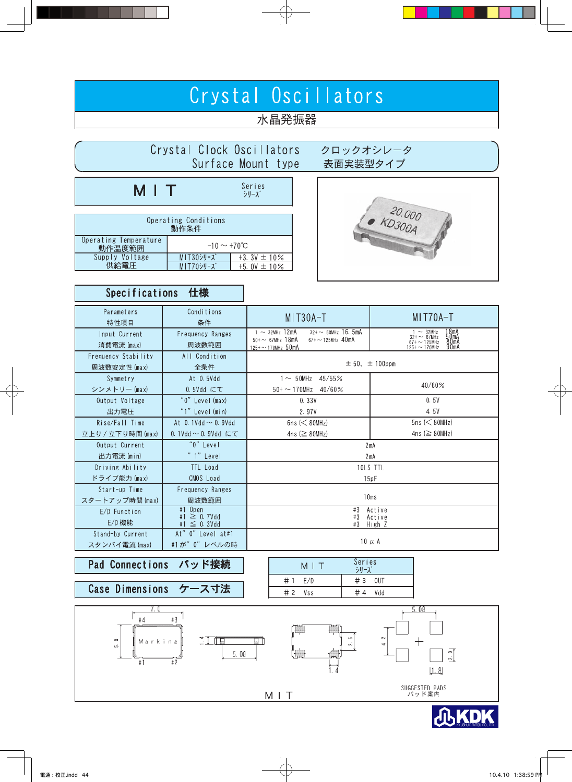# Crystal Oscillators

# 水晶発振器

|                                                           | Crystal Clock Oscillators<br>Surface Mount type    |                                                                                                                                          | クロックオシレータ<br>表面実装型タイプ                                                                                                                                                  |  |  |  |  |  |
|-----------------------------------------------------------|----------------------------------------------------|------------------------------------------------------------------------------------------------------------------------------------------|------------------------------------------------------------------------------------------------------------------------------------------------------------------------|--|--|--|--|--|
| MIT                                                       |                                                    | Series<br>シリーズ<br>NO.000                                                                                                                 |                                                                                                                                                                        |  |  |  |  |  |
|                                                           | Operating Conditions<br>動作条件                       |                                                                                                                                          |                                                                                                                                                                        |  |  |  |  |  |
| Operating Temperature<br>動作温度範囲<br>Supply Voltage<br>供給電圧 | $-10 \sim +70^{\circ}C$<br>MIT30シリーズ<br>MIT70シリーズ  | $+3.3V \pm 10\%$<br>$+5.0V \pm 10%$                                                                                                      |                                                                                                                                                                        |  |  |  |  |  |
| <b>Specifications</b><br>仕様                               |                                                    |                                                                                                                                          |                                                                                                                                                                        |  |  |  |  |  |
| Parameters<br>特性項目                                        | Conditions<br>条件                                   | MIT30A-T                                                                                                                                 | MIT70A-T                                                                                                                                                               |  |  |  |  |  |
| Input Current<br>消費電流 (max)                               | Frequency Ranges<br>周波数範囲                          | $1 \sim 32$ MHz 12mA<br>$32 + \sim 50$ MHz 16.5mA<br>$67 + \sim 125$ MHz 40mA<br>$50 + \sim 67$ MHz 18mA<br>$125 + \sim 170$ MHz $50$ mA | $\begin{array}{rcl} & 1 & \sim & 32 \text{MHz} \\ 32 + \sim & 67 \text{MHz} \\ 67 + \sim & 125 \text{MHz} \end{array}$<br>50mA<br>80mA<br>90mA<br>$125 + \sim 170$ MHz |  |  |  |  |  |
| Frequency Stability<br>周波数安定性 (max)                       | All Condition<br>全条件                               | $\pm 50$ , $\pm 100$ ppm                                                                                                                 |                                                                                                                                                                        |  |  |  |  |  |
| Symmetry<br>シンメトリー (max)                                  | At 0.5Vdd<br>0.5Vdd にて                             | $1 \sim 50$ MHz 45/55%<br>$50 + \sim 170$ MHz 40/60%                                                                                     | 40/60%                                                                                                                                                                 |  |  |  |  |  |
| Output Voltage<br>出力電圧                                    | "0" Level (max)<br>"1" Level (min)                 | 0.33V<br>2.97V                                                                                                                           | 0.5V<br>4.5V                                                                                                                                                           |  |  |  |  |  |
| Rise/Fall Time<br>立上り / 立下り時間 (max)                       | At 0.1Vdd $\sim$ 0.9Vdd<br>0.1Vdd $\sim$ 0.9Vdd にて | $6ns \leq 80MHz$<br>4ns ( $\geq$ 80MHz)                                                                                                  | $5ns \leq 80MHz$<br>4ns ( $\geq$ 80MHz)                                                                                                                                |  |  |  |  |  |
| Output Current<br>出力電流 (min)                              | " $0$ " Level<br>" 1" Level                        |                                                                                                                                          | 2mA<br>2mA                                                                                                                                                             |  |  |  |  |  |
| Driving Ability<br>ドライブ能力 (max)                           | TTL Load<br>CMOS Load                              |                                                                                                                                          | 10LS TTL<br>15pF                                                                                                                                                       |  |  |  |  |  |
| Start-up Time<br>スタートアップ時間 (max)                          | Frequency Ranges<br>周波数範囲                          | 10ms                                                                                                                                     |                                                                                                                                                                        |  |  |  |  |  |
| E/D Function<br>E/D 機能                                    | $#1$ Open<br>#1 $\geq$ 0.7Vdd<br>#1 $\leq$ 0.3Vdd  | #3 Active<br>#3 Active<br>#3 High Z                                                                                                      |                                                                                                                                                                        |  |  |  |  |  |
| Stand-by Current                                          | At" 0" Level at#1                                  |                                                                                                                                          |                                                                                                                                                                        |  |  |  |  |  |

#### Pad Connections パッド接続

スタンバイ電流 (max)

#1が"0"レベルの時

| Case Dimensions ケース寸法 |  |
|-----------------------|--|
|                       |  |

| MIT       | Series<br>$\frac{1}{2}$ $\left  \frac{1}{2} \right $ |  |
|-----------|------------------------------------------------------|--|
| #1<br>F/D | $#3$ OUT                                             |  |
| $# 2$ Vss | Vdd                                                  |  |

10  $\mu$  A